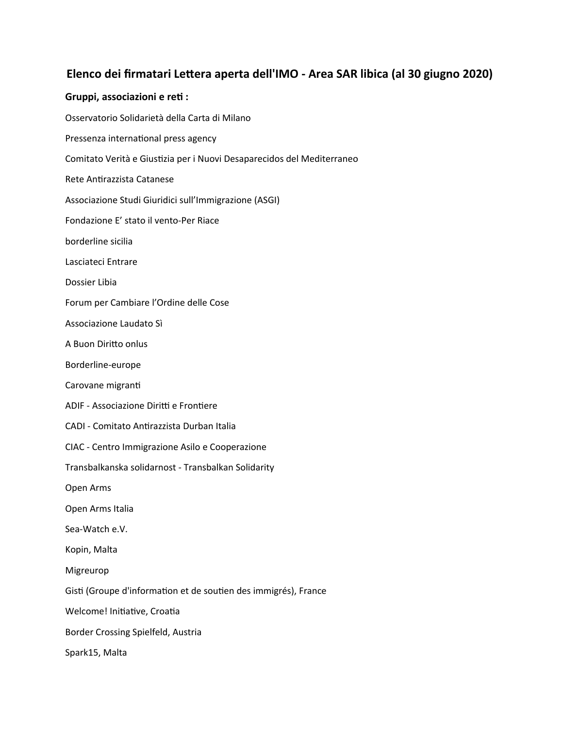## **Elenco dei firmatari Lettera aperta dell'IMO - Area SAR libica (al 30 giugno 2020)**

## **Gruppi, associazioni e reti :**

Osservatorio Solidarietà della Carta di Milano Pressenza international press agency Comitato Verità e Giustizia per i Nuovi Desaparecidos del Mediterraneo Rete Antirazzista Catanese Associazione Studi Giuridici sull'Immigrazione (ASGI) Fondazione E' stato il vento-Per Riace borderline sicilia Lasciateci Entrare Dossier Libia Forum per Cambiare l'Ordine delle Cose Associazione Laudato Sì A Buon Diritto onlus Borderline-europe Carovane migranti ADIF - Associazione Diritti e Frontiere CADI - Comitato Antirazzista Durban Italia CIAC - Centro Immigrazione Asilo e Cooperazione Transbalkanska solidarnost - Transbalkan Solidarity Open Arms Open Arms Italia Sea-Watch e.V. Kopin, Malta Migreurop Gisti (Groupe d'information et de soutien des immigrés), France Welcome! Initiative, Croatia Border Crossing Spielfeld, Austria Spark15, Malta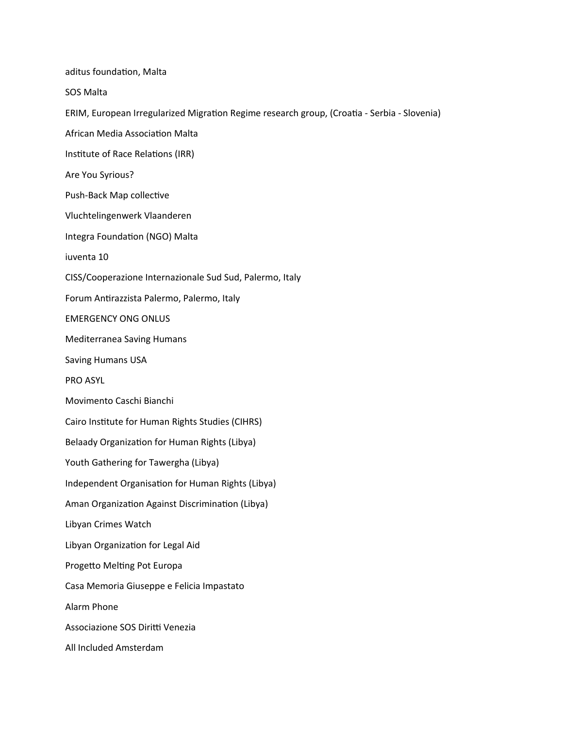aditus foundation, Malta SOS Malta ERIM, European Irregularized Migration Regime research group, (Croatia - Serbia - Slovenia) African Media Association Malta Institute of Race Relations (IRR) Are You Syrious? Push-Back Map collective Vluchtelingenwerk Vlaanderen Integra Foundation (NGO) Malta iuventa 10 CISS/Cooperazione Internazionale Sud Sud, Palermo, Italy Forum Antirazzista Palermo, Palermo, Italy EMERGENCY ONG ONLUS Mediterranea Saving Humans Saving Humans USA PRO ASYL Movimento Caschi Bianchi Cairo Institute for Human Rights Studies (CIHRS) Belaady Organization for Human Rights (Libya) Youth Gathering for Tawergha (Libya) Independent Organisation for Human Rights (Libya) Aman Organization Against Discrimination (Libya) Libyan Crimes Watch Libyan Organization for Legal Aid Progetto Melting Pot Europa Casa Memoria Giuseppe e Felicia Impastato Alarm Phone Associazione SOS Diritti Venezia All Included Amsterdam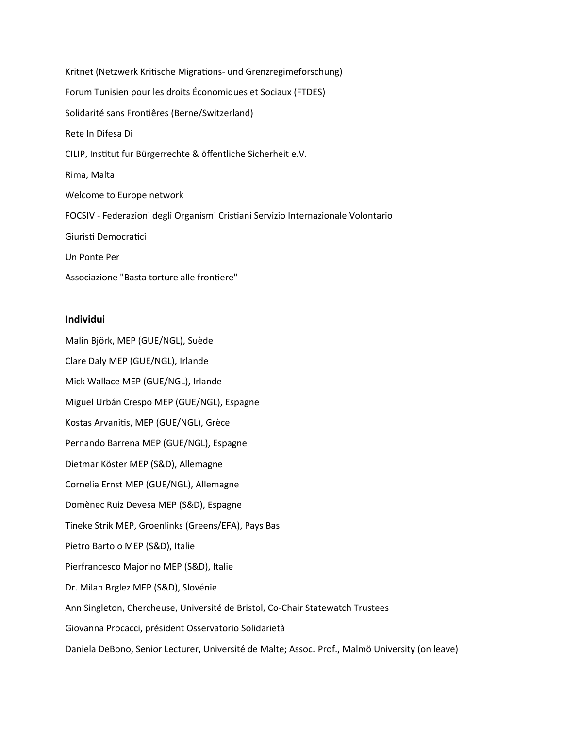Kritnet (Netzwerk Kritische Migrations- und Grenzregimeforschung) Forum Tunisien pour les droits Économiques et Sociaux (FTDES) Solidarité sans Frontiêres (Berne/Switzerland) Rete In Difesa Di CILIP, Institut fur Bürgerrechte & öffentliche Sicherheit e.V. Rima, Malta Welcome to Europe network FOCSIV - Federazioni degli Organismi Cristiani Servizio Internazionale Volontario Giuristi Democratici Un Ponte Per Associazione "Basta torture alle frontiere"

## **Individui**

Malin Björk, MEP (GUE/NGL), Suède Clare Daly MEP (GUE/NGL), Irlande Mick Wallace MEP (GUE/NGL), Irlande Miguel Urbán Crespo MEP (GUE/NGL), Espagne Kostas Arvanitis, MEP (GUE/NGL), Grèce Pernando Barrena MEP (GUE/NGL), Espagne Dietmar Köster MEP (S&D), Allemagne Cornelia Ernst MEP (GUE/NGL), Allemagne Domènec Ruiz Devesa MEP (S&D), Espagne Tineke Strik MEP, Groenlinks (Greens/EFA), Pays Bas Pietro Bartolo MEP (S&D), Italie Pierfrancesco Majorino MEP (S&D), Italie Dr. Milan Brglez MEP (S&D), Slovénie Ann Singleton, Chercheuse, Université de Bristol, Co-Chair Statewatch Trustees Giovanna Procacci, président Osservatorio Solidarietà Daniela DeBono, Senior Lecturer, Université de Malte; Assoc. Prof., Malmö University (on leave)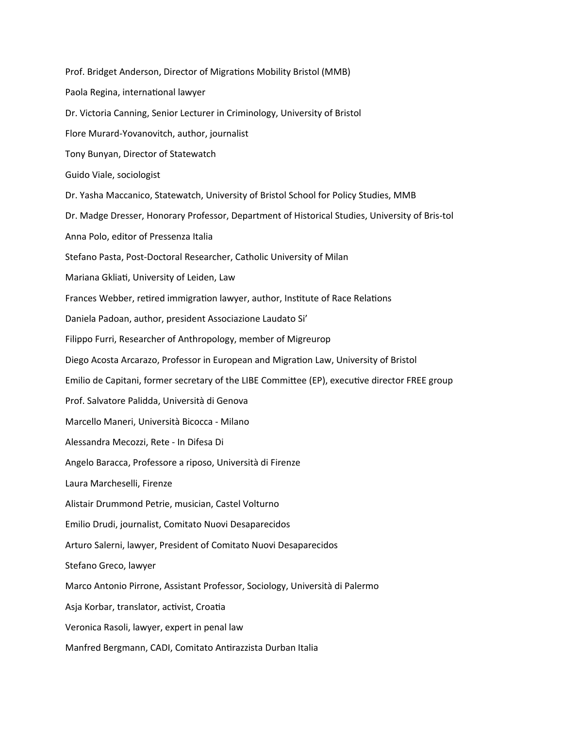Prof. Bridget Anderson, Director of Migrations Mobility Bristol (MMB) Paola Regina, international lawyer Dr. Victoria Canning, Senior Lecturer in Criminology, University of Bristol Flore Murard-Yovanovitch, author, journalist Tony Bunyan, Director of Statewatch Guido Viale, sociologist Dr. Yasha Maccanico, Statewatch, University of Bristol School for Policy Studies, MMB Dr. Madge Dresser, Honorary Professor, Department of Historical Studies, University of Bris-tol Anna Polo, editor of Pressenza Italia Stefano Pasta, Post-Doctoral Researcher, Catholic University of Milan Mariana Gkliati, University of Leiden, Law Frances Webber, retired immigration lawyer, author, Institute of Race Relations Daniela Padoan, author, president Associazione Laudato Si' Filippo Furri, Researcher of Anthropology, member of Migreurop Diego Acosta Arcarazo, Professor in European and Migration Law, University of Bristol Emilio de Capitani, former secretary of the LIBE Committee (EP), executive director FREE group Prof. Salvatore Palidda, Università di Genova Marcello Maneri, Università Bicocca - Milano Alessandra Mecozzi, Rete - In Difesa Di Angelo Baracca, Professore a riposo, Università di Firenze Laura Marcheselli, Firenze Alistair Drummond Petrie, musician, Castel Volturno Emilio Drudi, journalist, Comitato Nuovi Desaparecidos Arturo Salerni, lawyer, President of Comitato Nuovi Desaparecidos Stefano Greco, lawyer Marco Antonio Pirrone, Assistant Professor, Sociology, Università di Palermo Asja Korbar, translator, activist, Croatia Veronica Rasoli, lawyer, expert in penal law Manfred Bergmann, CADI, Comitato Antirazzista Durban Italia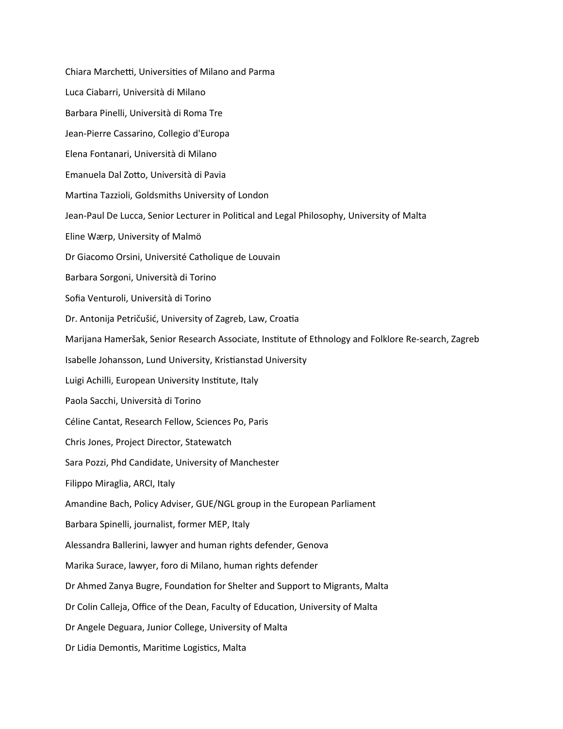Chiara Marchetti, Universities of Milano and Parma Luca Ciabarri, Università di Milano Barbara Pinelli, Università di Roma Tre Jean-Pierre Cassarino, Collegio d'Europa Elena Fontanari, Università di Milano Emanuela Dal Zotto, Università di Pavia Martina Tazzioli, Goldsmiths University of London Jean-Paul De Lucca, Senior Lecturer in Political and Legal Philosophy, University of Malta Eline Wærp, University of Malmö Dr Giacomo Orsini, Université Catholique de Louvain Barbara Sorgoni, Università di Torino Sofia Venturoli, Università di Torino Dr. Antonija Petričušić, University of Zagreb, Law, Croatia Marijana Hameršak, Senior Research Associate, Institute of Ethnology and Folklore Re-search, Zagreb Isabelle Johansson, Lund University, Kristianstad University Luigi Achilli, European University Institute, Italy Paola Sacchi, Università di Torino Céline Cantat, Research Fellow, Sciences Po, Paris Chris Jones, Project Director, Statewatch Sara Pozzi, Phd Candidate, University of Manchester Filippo Miraglia, ARCI, Italy Amandine Bach, Policy Adviser, GUE/NGL group in the European Parliament Barbara Spinelli, journalist, former MEP, Italy Alessandra Ballerini, lawyer and human rights defender, Genova Marika Surace, lawyer, foro di Milano, human rights defender Dr Ahmed Zanya Bugre, Foundation for Shelter and Support to Migrants, Malta Dr Colin Calleja, Office of the Dean, Faculty of Education, University of Malta Dr Angele Deguara, Junior College, University of Malta Dr Lidia Demontis, Maritime Logistics, Malta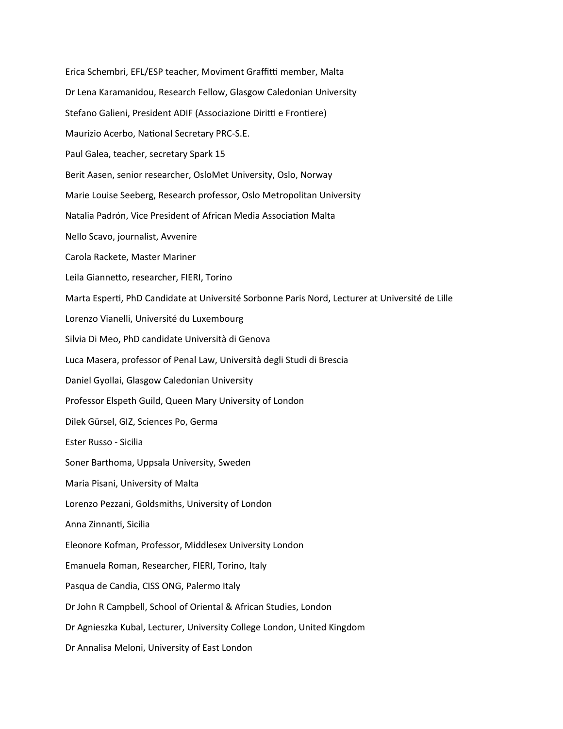Erica Schembri, EFL/ESP teacher, Moviment Graffitti member, Malta Dr Lena Karamanidou, Research Fellow, Glasgow Caledonian University Stefano Galieni, President ADIF (Associazione Diritti e Frontiere) Maurizio Acerbo, National Secretary PRC-S.E. Paul Galea, teacher, secretary Spark 15 Berit Aasen, senior researcher, OsloMet University, Oslo, Norway Marie Louise Seeberg, Research professor, Oslo Metropolitan University Natalia Padrón, Vice President of African Media Association Malta Nello Scavo, journalist, Avvenire Carola Rackete, Master Mariner Leila Giannetto, researcher, FIERI, Torino Marta Esperti, PhD Candidate at Université Sorbonne Paris Nord, Lecturer at Université de Lille Lorenzo Vianelli, Université du Luxembourg Silvia Di Meo, PhD candidate Università di Genova Luca Masera, professor of Penal Law, Università degli Studi di Brescia Daniel Gyollai, Glasgow Caledonian University Professor Elspeth Guild, Queen Mary University of London Dilek Gürsel, GIZ, Sciences Po, Germa Ester Russo - Sicilia Soner Barthoma, Uppsala University, Sweden Maria Pisani, University of Malta Lorenzo Pezzani, Goldsmiths, University of London Anna Zinnanti, Sicilia Eleonore Kofman, Professor, Middlesex University London Emanuela Roman, Researcher, FIERI, Torino, Italy Pasqua de Candia, CISS ONG, Palermo Italy Dr John R Campbell, School of Oriental & African Studies, London Dr Agnieszka Kubal, Lecturer, University College London, United Kingdom Dr Annalisa Meloni, University of East London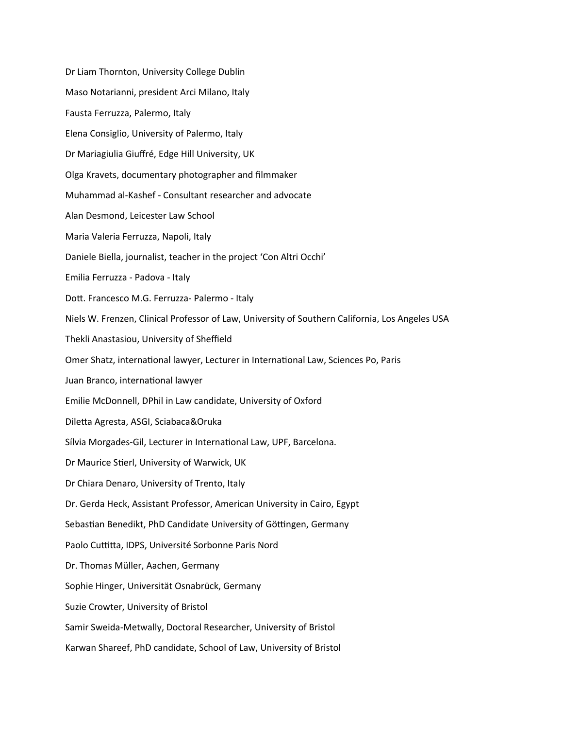Dr Liam Thornton, University College Dublin Maso Notarianni, president Arci Milano, Italy Fausta Ferruzza, Palermo, Italy Elena Consiglio, University of Palermo, Italy Dr Mariagiulia Giuffré, Edge Hill University, UK Olga Kravets, documentary photographer and filmmaker Muhammad al-Kashef - Consultant researcher and advocate Alan Desmond, Leicester Law School Maria Valeria Ferruzza, Napoli, Italy Daniele Biella, journalist, teacher in the project 'Con Altri Occhi' Emilia Ferruzza - Padova - Italy Dott. Francesco M.G. Ferruzza- Palermo - Italy Niels W. Frenzen, Clinical Professor of Law, University of Southern California, Los Angeles USA Thekli Anastasiou, University of Sheffield Omer Shatz, international lawyer, Lecturer in International Law, Sciences Po, Paris Juan Branco, international lawyer Emilie McDonnell, DPhil in Law candidate, University of Oxford Diletta Agresta, ASGI, Sciabaca&Oruka Sílvia Morgades-Gil, Lecturer in International Law, UPF, Barcelona. Dr Maurice Stierl, University of Warwick, UK Dr Chiara Denaro, University of Trento, Italy Dr. Gerda Heck, Assistant Professor, American University in Cairo, Egypt Sebastian Benedikt, PhD Candidate University of Göttingen, Germany Paolo Cuttitta, IDPS, Université Sorbonne Paris Nord Dr. Thomas Müller, Aachen, Germany Sophie Hinger, Universität Osnabrück, Germany Suzie Crowter, University of Bristol Samir Sweida-Metwally, Doctoral Researcher, University of Bristol Karwan Shareef, PhD candidate, School of Law, University of Bristol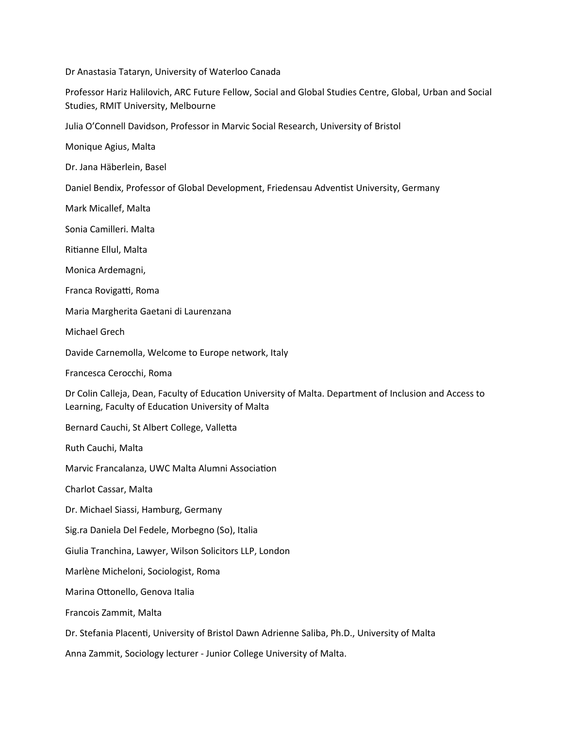Dr Anastasia Tataryn, University of Waterloo Canada

Professor Hariz Halilovich, ARC Future Fellow, Social and Global Studies Centre, Global, Urban and Social Studies, RMIT University, Melbourne

Julia O'Connell Davidson, Professor in Marvic Social Research, University of Bristol

Monique Agius, Malta

Dr. Jana Häberlein, Basel

Daniel Bendix, Professor of Global Development, Friedensau Adventist University, Germany

Mark Micallef, Malta

Sonia Camilleri. Malta

Ritianne Ellul, Malta

Monica Ardemagni,

Franca Rovigatti, Roma

Maria Margherita Gaetani di Laurenzana

Michael Grech

Davide Carnemolla, Welcome to Europe network, Italy

Francesca Cerocchi, Roma

Dr Colin Calleja, Dean, Faculty of Education University of Malta. Department of Inclusion and Access to Learning, Faculty of Education University of Malta

Bernard Cauchi, St Albert College, Valletta

Ruth Cauchi, Malta

Marvic Francalanza, UWC Malta Alumni Association

Charlot Cassar, Malta

Dr. Michael Siassi, Hamburg, Germany

Sig.ra Daniela Del Fedele, Morbegno (So), Italia

Giulia Tranchina, Lawyer, Wilson Solicitors LLP, London

Marlène Micheloni, Sociologist, Roma

Marina Ottonello, Genova Italia

Francois Zammit, Malta

Dr. Stefania Placenti, University of Bristol Dawn Adrienne Saliba, Ph.D., University of Malta

Anna Zammit, Sociology lecturer - Junior College University of Malta.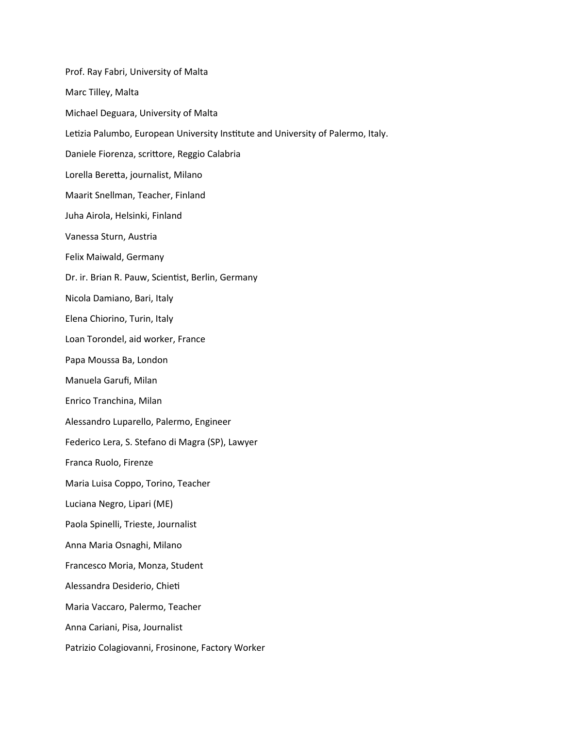Prof. Ray Fabri, University of Malta Marc Tilley, Malta Michael Deguara, University of Malta Letizia Palumbo, European University Institute and University of Palermo, Italy. Daniele Fiorenza, scrittore, Reggio Calabria Lorella Beretta, journalist, Milano Maarit Snellman, Teacher, Finland Juha Airola, Helsinki, Finland Vanessa Sturn, Austria Felix Maiwald, Germany Dr. ir. Brian R. Pauw, Scientist, Berlin, Germany Nicola Damiano, Bari, Italy Elena Chiorino, Turin, Italy Loan Torondel, aid worker, France Papa Moussa Ba, London Manuela Garufi, Milan Enrico Tranchina, Milan Alessandro Luparello, Palermo, Engineer Federico Lera, S. Stefano di Magra (SP), Lawyer Franca Ruolo, Firenze Maria Luisa Coppo, Torino, Teacher Luciana Negro, Lipari (ME) Paola Spinelli, Trieste, Journalist Anna Maria Osnaghi, Milano Francesco Moria, Monza, Student Alessandra Desiderio, Chieti Maria Vaccaro, Palermo, Teacher Anna Cariani, Pisa, Journalist Patrizio Colagiovanni, Frosinone, Factory Worker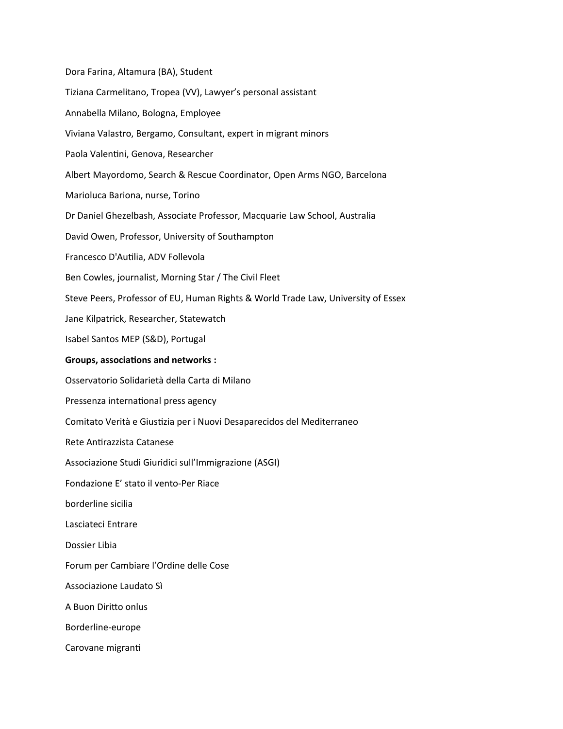Dora Farina, Altamura (BA), Student Tiziana Carmelitano, Tropea (VV), Lawyer's personal assistant Annabella Milano, Bologna, Employee Viviana Valastro, Bergamo, Consultant, expert in migrant minors Paola Valentini, Genova, Researcher Albert Mayordomo, Search & Rescue Coordinator, Open Arms NGO, Barcelona Marioluca Bariona, nurse, Torino Dr Daniel Ghezelbash, Associate Professor, Macquarie Law School, Australia David Owen, Professor, University of Southampton Francesco D'Autilia, ADV Follevola Ben Cowles, journalist, Morning Star / The Civil Fleet Steve Peers, Professor of EU, Human Rights & World Trade Law, University of Essex Jane Kilpatrick, Researcher, Statewatch Isabel Santos MEP (S&D), Portugal **Groups, associations and networks :** Osservatorio Solidarietà della Carta di Milano Pressenza international press agency Comitato Verità e Giustizia per i Nuovi Desaparecidos del Mediterraneo Rete Antirazzista Catanese Associazione Studi Giuridici sull'Immigrazione (ASGI) Fondazione E' stato il vento-Per Riace borderline sicilia Lasciateci Entrare Dossier Libia Forum per Cambiare l'Ordine delle Cose Associazione Laudato Sì A Buon Diritto onlus Borderline-europe Carovane migranti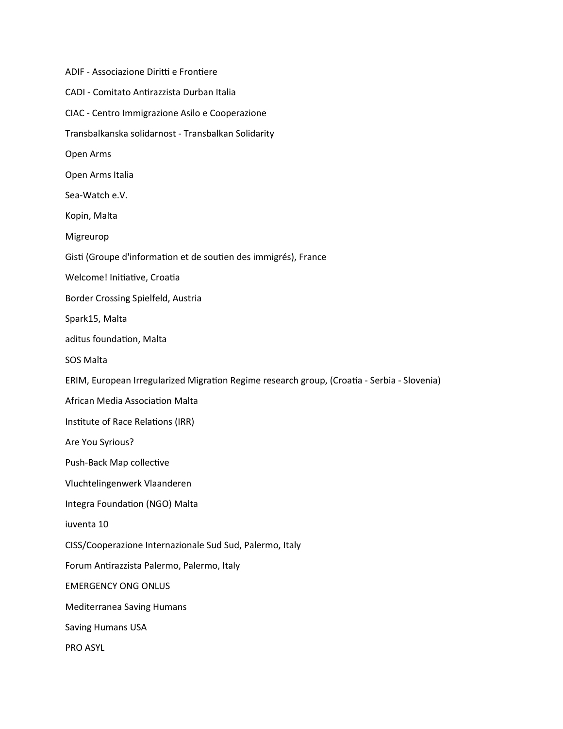ADIF - Associazione Diritti e Frontiere CADI - Comitato Antirazzista Durban Italia CIAC - Centro Immigrazione Asilo e Cooperazione Transbalkanska solidarnost - Transbalkan Solidarity Open Arms Open Arms Italia Sea-Watch e.V. Kopin, Malta Migreurop Gisti (Groupe d'information et de soutien des immigrés), France Welcome! Initiative, Croatia Border Crossing Spielfeld, Austria Spark15, Malta aditus foundation, Malta SOS Malta ERIM, European Irregularized Migration Regime research group, (Croatia - Serbia - Slovenia) African Media Association Malta Institute of Race Relations (IRR) Are You Syrious? Push-Back Map collective Vluchtelingenwerk Vlaanderen Integra Foundation (NGO) Malta iuventa 10 CISS/Cooperazione Internazionale Sud Sud, Palermo, Italy Forum Antirazzista Palermo, Palermo, Italy EMERGENCY ONG ONLUS Mediterranea Saving Humans Saving Humans USA PRO ASYL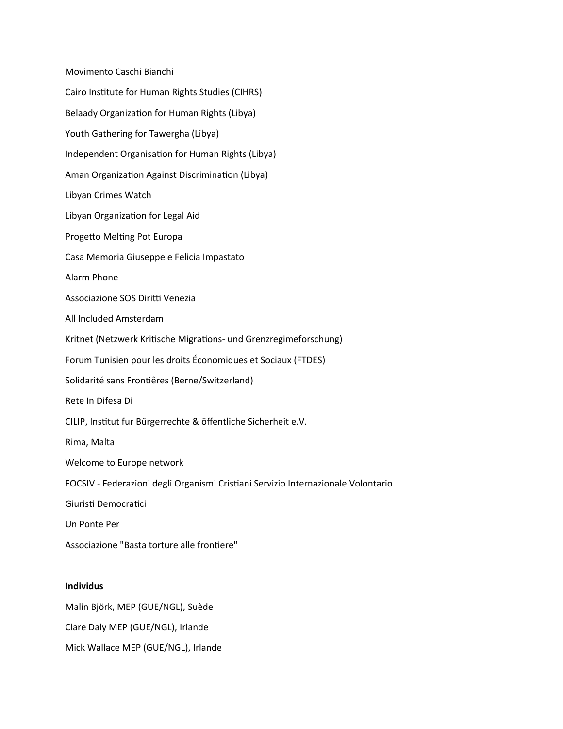Movimento Caschi Bianchi Cairo Institute for Human Rights Studies (CIHRS) Belaady Organization for Human Rights (Libya) Youth Gathering for Tawergha (Libya) Independent Organisation for Human Rights (Libya) Aman Organization Against Discrimination (Libya) Libyan Crimes Watch Libyan Organization for Legal Aid Progetto Melting Pot Europa Casa Memoria Giuseppe e Felicia Impastato Alarm Phone Associazione SOS Diritti Venezia All Included Amsterdam Kritnet (Netzwerk Kritische Migrations- und Grenzregimeforschung) Forum Tunisien pour les droits Économiques et Sociaux (FTDES) Solidarité sans Frontiêres (Berne/Switzerland) Rete In Difesa Di CILIP, Institut fur Bürgerrechte & öffentliche Sicherheit e.V. Rima, Malta Welcome to Europe network FOCSIV - Federazioni degli Organismi Cristiani Servizio Internazionale Volontario Giuristi Democratici Un Ponte Per Associazione "Basta torture alle frontiere"

## **Individus**

Malin Björk, MEP (GUE/NGL), Suède Clare Daly MEP (GUE/NGL), Irlande Mick Wallace MEP (GUE/NGL), Irlande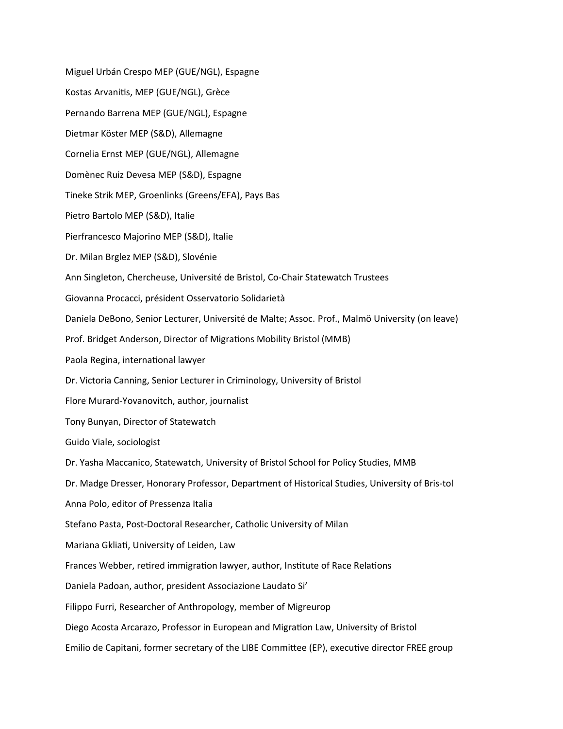Miguel Urbán Crespo MEP (GUE/NGL), Espagne Kostas Arvanitis, MEP (GUE/NGL), Grèce Pernando Barrena MEP (GUE/NGL), Espagne Dietmar Köster MEP (S&D), Allemagne Cornelia Ernst MEP (GUE/NGL), Allemagne Domènec Ruiz Devesa MEP (S&D), Espagne Tineke Strik MEP, Groenlinks (Greens/EFA), Pays Bas Pietro Bartolo MEP (S&D), Italie Pierfrancesco Majorino MEP (S&D), Italie Dr. Milan Brglez MEP (S&D), Slovénie Ann Singleton, Chercheuse, Université de Bristol, Co-Chair Statewatch Trustees Giovanna Procacci, président Osservatorio Solidarietà Daniela DeBono, Senior Lecturer, Université de Malte; Assoc. Prof., Malmö University (on leave) Prof. Bridget Anderson, Director of Migrations Mobility Bristol (MMB) Paola Regina, international lawyer Dr. Victoria Canning, Senior Lecturer in Criminology, University of Bristol Flore Murard-Yovanovitch, author, journalist Tony Bunyan, Director of Statewatch Guido Viale, sociologist Dr. Yasha Maccanico, Statewatch, University of Bristol School for Policy Studies, MMB Dr. Madge Dresser, Honorary Professor, Department of Historical Studies, University of Bris-tol Anna Polo, editor of Pressenza Italia Stefano Pasta, Post-Doctoral Researcher, Catholic University of Milan Mariana Gkliati, University of Leiden, Law Frances Webber, retired immigration lawyer, author, Institute of Race Relations Daniela Padoan, author, president Associazione Laudato Si' Filippo Furri, Researcher of Anthropology, member of Migreurop Diego Acosta Arcarazo, Professor in European and Migration Law, University of Bristol Emilio de Capitani, former secretary of the LIBE Committee (EP), executive director FREE group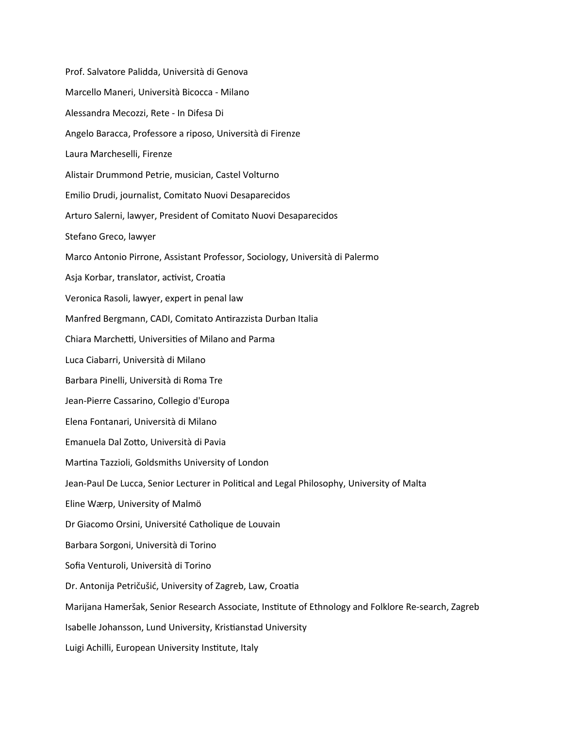Prof. Salvatore Palidda, Università di Genova Marcello Maneri, Università Bicocca - Milano Alessandra Mecozzi, Rete - In Difesa Di Angelo Baracca, Professore a riposo, Università di Firenze Laura Marcheselli, Firenze Alistair Drummond Petrie, musician, Castel Volturno Emilio Drudi, journalist, Comitato Nuovi Desaparecidos Arturo Salerni, lawyer, President of Comitato Nuovi Desaparecidos Stefano Greco, lawyer Marco Antonio Pirrone, Assistant Professor, Sociology, Università di Palermo Asja Korbar, translator, activist, Croatia Veronica Rasoli, lawyer, expert in penal law Manfred Bergmann, CADI, Comitato Antirazzista Durban Italia Chiara Marchetti, Universities of Milano and Parma Luca Ciabarri, Università di Milano Barbara Pinelli, Università di Roma Tre Jean-Pierre Cassarino, Collegio d'Europa Elena Fontanari, Università di Milano Emanuela Dal Zotto, Università di Pavia Martina Tazzioli, Goldsmiths University of London Jean-Paul De Lucca, Senior Lecturer in Political and Legal Philosophy, University of Malta Eline Wærp, University of Malmö Dr Giacomo Orsini, Université Catholique de Louvain Barbara Sorgoni, Università di Torino Sofia Venturoli, Università di Torino Dr. Antonija Petričušić, University of Zagreb, Law, Croatia Marijana Hameršak, Senior Research Associate, Institute of Ethnology and Folklore Re-search, Zagreb Isabelle Johansson, Lund University, Kristianstad University Luigi Achilli, European University Institute, Italy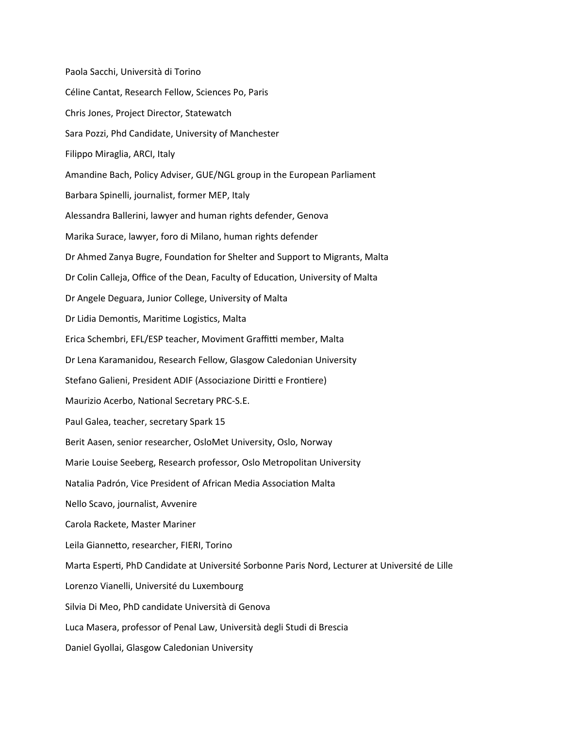Paola Sacchi, Università di Torino Céline Cantat, Research Fellow, Sciences Po, Paris Chris Jones, Project Director, Statewatch Sara Pozzi, Phd Candidate, University of Manchester Filippo Miraglia, ARCI, Italy Amandine Bach, Policy Adviser, GUE/NGL group in the European Parliament Barbara Spinelli, journalist, former MEP, Italy Alessandra Ballerini, lawyer and human rights defender, Genova Marika Surace, lawyer, foro di Milano, human rights defender Dr Ahmed Zanya Bugre, Foundation for Shelter and Support to Migrants, Malta Dr Colin Calleja, Office of the Dean, Faculty of Education, University of Malta Dr Angele Deguara, Junior College, University of Malta Dr Lidia Demontis, Maritime Logistics, Malta Erica Schembri, EFL/ESP teacher, Moviment Graffitti member, Malta Dr Lena Karamanidou, Research Fellow, Glasgow Caledonian University Stefano Galieni, President ADIF (Associazione Diritti e Frontiere) Maurizio Acerbo, National Secretary PRC-S.E. Paul Galea, teacher, secretary Spark 15 Berit Aasen, senior researcher, OsloMet University, Oslo, Norway Marie Louise Seeberg, Research professor, Oslo Metropolitan University Natalia Padrón, Vice President of African Media Association Malta Nello Scavo, journalist, Avvenire Carola Rackete, Master Mariner Leila Giannetto, researcher, FIERI, Torino Marta Esperti, PhD Candidate at Université Sorbonne Paris Nord, Lecturer at Université de Lille Lorenzo Vianelli, Université du Luxembourg Silvia Di Meo, PhD candidate Università di Genova Luca Masera, professor of Penal Law, Università degli Studi di Brescia Daniel Gyollai, Glasgow Caledonian University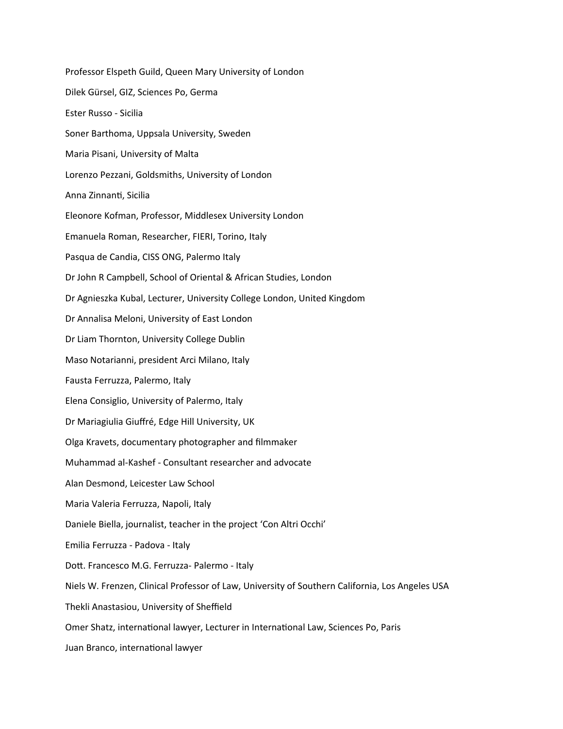Professor Elspeth Guild, Queen Mary University of London Dilek Gürsel, GIZ, Sciences Po, Germa Ester Russo - Sicilia Soner Barthoma, Uppsala University, Sweden Maria Pisani, University of Malta Lorenzo Pezzani, Goldsmiths, University of London Anna Zinnanti, Sicilia Eleonore Kofman, Professor, Middlesex University London Emanuela Roman, Researcher, FIERI, Torino, Italy Pasqua de Candia, CISS ONG, Palermo Italy Dr John R Campbell, School of Oriental & African Studies, London Dr Agnieszka Kubal, Lecturer, University College London, United Kingdom Dr Annalisa Meloni, University of East London Dr Liam Thornton, University College Dublin Maso Notarianni, president Arci Milano, Italy Fausta Ferruzza, Palermo, Italy Elena Consiglio, University of Palermo, Italy Dr Mariagiulia Giuffré, Edge Hill University, UK Olga Kravets, documentary photographer and filmmaker Muhammad al-Kashef - Consultant researcher and advocate Alan Desmond, Leicester Law School Maria Valeria Ferruzza, Napoli, Italy Daniele Biella, journalist, teacher in the project 'Con Altri Occhi' Emilia Ferruzza - Padova - Italy Dott. Francesco M.G. Ferruzza- Palermo - Italy Niels W. Frenzen, Clinical Professor of Law, University of Southern California, Los Angeles USA Thekli Anastasiou, University of Sheffield Omer Shatz, international lawyer, Lecturer in International Law, Sciences Po, Paris Juan Branco, international lawyer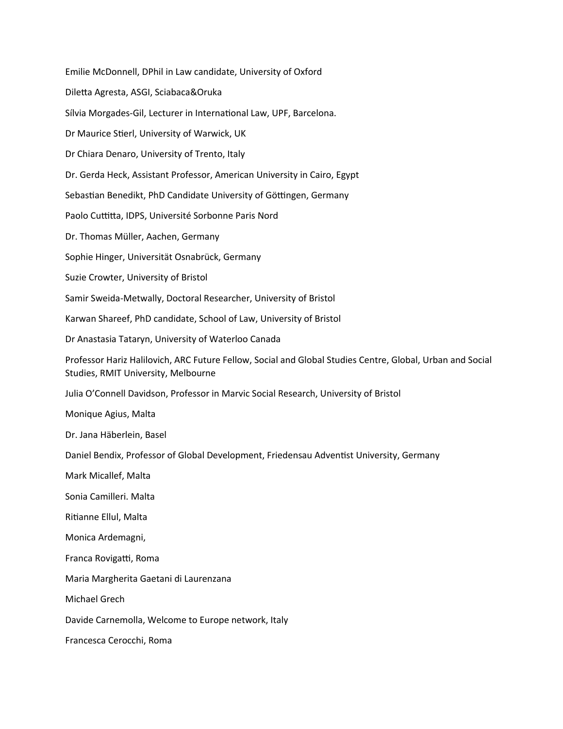Emilie McDonnell, DPhil in Law candidate, University of Oxford Diletta Agresta, ASGI, Sciabaca&Oruka Sílvia Morgades-Gil, Lecturer in International Law, UPF, Barcelona. Dr Maurice Stierl, University of Warwick, UK Dr Chiara Denaro, University of Trento, Italy Dr. Gerda Heck, Assistant Professor, American University in Cairo, Egypt Sebastian Benedikt, PhD Candidate University of Göttingen, Germany Paolo Cuttitta, IDPS, Université Sorbonne Paris Nord Dr. Thomas Müller, Aachen, Germany Sophie Hinger, Universität Osnabrück, Germany Suzie Crowter, University of Bristol Samir Sweida-Metwally, Doctoral Researcher, University of Bristol Karwan Shareef, PhD candidate, School of Law, University of Bristol Dr Anastasia Tataryn, University of Waterloo Canada Professor Hariz Halilovich, ARC Future Fellow, Social and Global Studies Centre, Global, Urban and Social Studies, RMIT University, Melbourne Julia O'Connell Davidson, Professor in Marvic Social Research, University of Bristol Monique Agius, Malta Dr. Jana Häberlein, Basel Daniel Bendix, Professor of Global Development, Friedensau Adventist University, Germany Mark Micallef, Malta Sonia Camilleri. Malta Ritianne Ellul, Malta Monica Ardemagni, Franca Rovigatti, Roma Maria Margherita Gaetani di Laurenzana Michael Grech Davide Carnemolla, Welcome to Europe network, Italy Francesca Cerocchi, Roma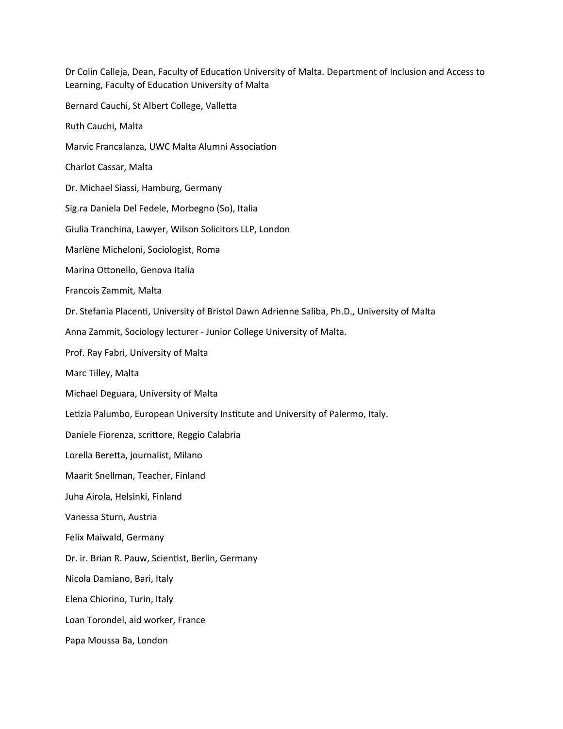Dr Colin Calleja, Dean, Faculty of Education University of Malta. Department of Inclusion and Access to Learning, Faculty of Education University of Malta Bernard Cauchi, St Albert College, Valletta Ruth Cauchi, Malta Marvic Francalanza, UWC Malta Alumni Association Charlot Cassar, Malta Dr. Michael Siassi, Hamburg, Germany Sig.ra Daniela Del Fedele, Morbegno (So), Italia Giulia Tranchina, Lawyer, Wilson Solicitors LLP, London Marlène Micheloni, Sociologist, Roma Marina Ottonello, Genova Italia Francois Zammit, Malta Dr. Stefania Placenti, University of Bristol Dawn Adrienne Saliba, Ph.D., University of Malta Anna Zammit, Sociology lecturer - Junior College University of Malta. Prof. Ray Fabri, University of Malta Marc Tilley, Malta Michael Deguara, University of Malta Letizia Palumbo, European University Institute and University of Palermo, Italy. Daniele Fiorenza, scrittore, Reggio Calabria Lorella Beretta, journalist, Milano Maarit Snellman, Teacher, Finland Juha Airola, Helsinki, Finland Vanessa Sturn, Austria Felix Maiwald, Germany Dr. ir. Brian R. Pauw, Scientist, Berlin, Germany Nicola Damiano, Bari, Italy Elena Chiorino, Turin, Italy Loan Torondel, aid worker, France Papa Moussa Ba, London